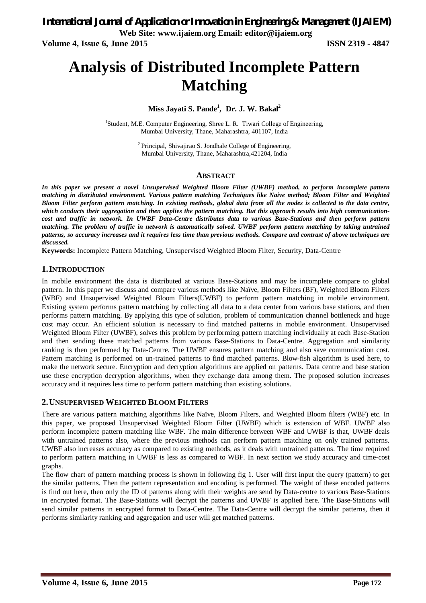# **Analysis of Distributed Incomplete Pattern Matching**

### **Miss Jayati S. Pande<sup>1</sup> , Dr. J. W. Bakal<sup>2</sup>**

<sup>1</sup>Student, M.E. Computer Engineering, Shree L. R. Tiwari College of Engineering, Mumbai University, Thane, Maharashtra, 401107, India

> <sup>2</sup> Principal, Shivajirao S. Jondhale College of Engineering, Mumbai University, Thane, Maharashtra,421204, India

#### **ABSTRACT**

*In this paper we present a novel Unsupervised Weighted Bloom Filter (UWBF) method, to perform incomplete pattern matching in distributed environment. Various pattern matching Techniques like Naive method; Bloom Filter and Weighted Bloom Filter perform pattern matching. In existing methods, global data from all the nodes is collected to the data centre, which conducts their aggregation and then applies the pattern matching. But this approach results into high communicationcost and traffic in network. In UWBF Data-Centre distributes data to various Base-Stations and then perform pattern matching. The problem of traffic in network is automatically solved. UWBF perform pattern matching by taking untrained patterns, so accuracy increases and it requires less time than previous methods. Compare and contrast of above techniques are discussed.* 

**Keywords:** Incomplete Pattern Matching, Unsupervised Weighted Bloom Filter, Security, Data-Centre

#### **1.INTRODUCTION**

In mobile environment the data is distributed at various Base-Stations and may be incomplete compare to global pattern. In this paper we discuss and compare various methods like Naïve, Bloom Filters (BF), Weighted Bloom Filters (WBF) and Unsupervised Weighted Bloom Filters(UWBF) to perform pattern matching in mobile environment. Existing system performs pattern matching by collecting all data to a data center from various base stations, and then performs pattern matching. By applying this type of solution, problem of communication channel bottleneck and huge cost may occur. An efficient solution is necessary to find matched patterns in mobile environment. Unsupervised Weighted Bloom Filter (UWBF), solves this problem by performing pattern matching individually at each Base-Station and then sending these matched patterns from various Base-Stations to Data-Centre. Aggregation and similarity ranking is then performed by Data-Centre. The UWBF ensures pattern matching and also save communication cost. Pattern matching is performed on un-trained patterns to find matched patterns. Blow-fish algorithm is used here, to make the network secure. Encryption and decryption algorithms are applied on patterns. Data centre and base station use these encryption decryption algorithms, when they exchange data among them. The proposed solution increases accuracy and it requires less time to perform pattern matching than existing solutions.

#### **2.UNSUPERVISED WEIGHTED BLOOM FILTERS**

There are various pattern matching algorithms like Naïve, Bloom Filters, and Weighted Bloom filters (WBF) etc. In this paper, we proposed Unsupervised Weighted Bloom Filter (UWBF) which is extension of WBF. UWBF also perform incomplete pattern matching like WBF. The main difference between WBF and UWBF is that, UWBF deals with untrained patterns also, where the previous methods can perform pattern matching on only trained patterns. UWBF also increases accuracy as compared to existing methods, as it deals with untrained patterns. The time required to perform pattern matching in UWBF is less as compared to WBF. In next section we study accuracy and time-cost graphs.

The flow chart of pattern matching process is shown in following fig 1. User will first input the query (pattern) to get the similar patterns. Then the pattern representation and encoding is performed. The weight of these encoded patterns is find out here, then only the ID of patterns along with their weights are send by Data-centre to various Base-Stations in encrypted format. The Base-Stations will decrypt the patterns and UWBF is applied here. The Base-Stations will send similar patterns in encrypted format to Data-Centre. The Data-Centre will decrypt the similar patterns, then it performs similarity ranking and aggregation and user will get matched patterns.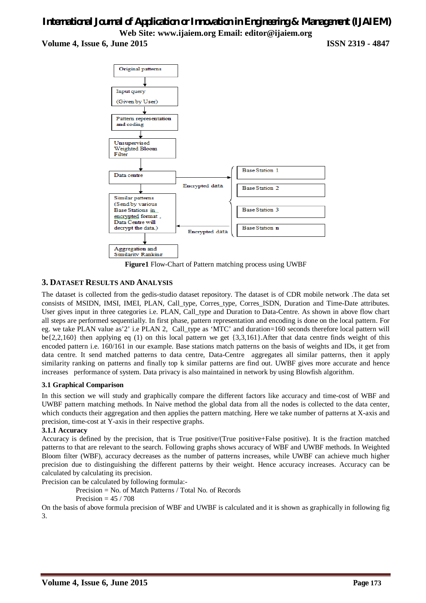## *International Journal of Application or Innovation in Engineering & Management (IJAIEM)* **Web Site: www.ijaiem.org Email: editor@ijaiem.org Volume 4, Issue 6, June 2015 ISSN 2319 - 4847**



**Figure1** Flow-Chart of Pattern matching process using UWBF

### **3. DATASET RESULTS AND ANALYSIS**

The dataset is collected from the gedis-studio dataset repository. The dataset is of CDR mobile network .The data set consists of MSIDN, IMSI, IMEI, PLAN, Call\_type, Corres\_type, Corres\_ISDN, Duration and Time-Date attributes. User gives input in three categories i.e. PLAN, Call\_type and Duration to Data-Centre. As shown in above flow chart all steps are performed sequentially. In first phase, pattern representation and encoding is done on the local pattern. For eg. we take PLAN value as'2' i.e PLAN 2, Call\_type as 'MTC' and duration=160 seconds therefore local pattern will  $be{2,2,160}$  then applying eq (1) on this local pattern we get  ${3,3,161}$ . After that data centre finds weight of this encoded pattern i.e. 160/161 in our example. Base stations match patterns on the basis of weights and IDs, it get from data centre. It send matched patterns to data centre, Data-Centre aggregates all similar patterns, then it apply similarity ranking on patterns and finally top k similar patterns are find out. UWBF gives more accurate and hence increases performance of system. Data privacy is also maintained in network by using Blowfish algorithm.

#### **3.1 Graphical Comparison**

In this section we will study and graphically compare the different factors like accuracy and time-cost of WBF and UWBF pattern matching methods. In Naive method the global data from all the nodes is collected to the data center, which conducts their aggregation and then applies the pattern matching. Here we take number of patterns at X-axis and precision, time-cost at Y-axis in their respective graphs.

#### **3.1.1 Accuracy**

Accuracy is defined by the precision, that is True positive/(True positive+False positive). It is the fraction matched patterns to that are relevant to the search. Following graphs shows accuracy of WBF and UWBF methods. In Weighted Bloom filter (WBF), accuracy decreases as the number of patterns increases, while UWBF can achieve much higher precision due to distinguishing the different patterns by their weight. Hence accuracy increases. Accuracy can be calculated by calculating its precision.

Precision can be calculated by following formula:-

 Precision = No. of Match Patterns / Total No. of Records Precision  $= 45 / 708$ 

On the basis of above formula precision of WBF and UWBF is calculated and it is shown as graphically in following fig 3.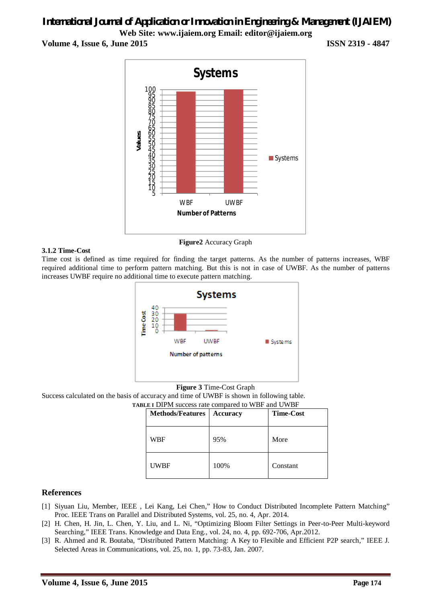# *International Journal of Application or Innovation in Engineering & Management (IJAIEM)* **Web Site: www.ijaiem.org Email: editor@ijaiem.org**

**Volume 4, Issue 6, June 2015 ISSN 2319 - 4847**



**Figure2** Accuracy Graph

#### **3.1.2 Time-Cost**

Time cost is defined as time required for finding the target patterns. As the number of patterns increases, WBF required additional time to perform pattern matching. But this is not in case of UWBF. As the number of patterns increases UWBF require no additional time to execute pattern matching.



#### **Figure 3** Time-Cost Graph

Success calculated on the basis of accuracy and time of UWBF is shown in following table.

**TABLE I** DIPM success rate compared to WBF and UWBF

| <b>Methods/Features</b> | <b>Accuracy</b> | <b>Time-Cost</b> |
|-------------------------|-----------------|------------------|
| WBF                     | 95%             | More             |
| <b>UWBF</b>             | 100%            | Constant         |

#### **References**

- [1] Siyuan Liu, Member, IEEE , Lei Kang, Lei Chen," How to Conduct Distributed Incomplete Pattern Matching" Proc. IEEE Trans on Parallel and Distributed Systems, vol. 25, no. 4, Apr. 2014.
- [2] H. Chen, H. Jin, L. Chen, Y. Liu, and L. Ni, "Optimizing Bloom Filter Settings in Peer-to-Peer Multi-keyword Searching," IEEE Trans. Knowledge and Data Eng., vol. 24, no. 4, pp. 692-706, Apr.2012.
- [3] R. Ahmed and R. Boutaba, "Distributed Pattern Matching: A Key to Flexible and Efficient P2P search," IEEE J. Selected Areas in Communications, vol. 25, no. 1, pp. 73-83, Jan. 2007.